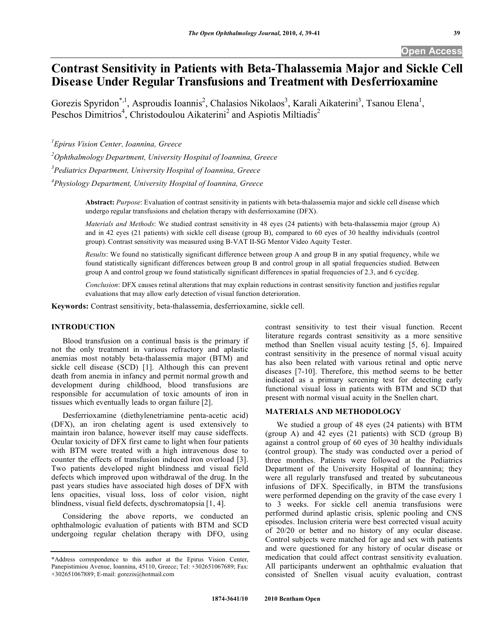# **Contrast Sensitivity in Patients with Beta-Thalassemia Major and Sickle Cell Disease Under Regular Transfusions and Treatment with Desferrioxamine**

Gorezis Spyridon<sup>\*,1</sup>, Asproudis Ioannis<sup>2</sup>, Chalasios Nikolaos<sup>3</sup>, Karali Aikaterini<sup>3</sup>, Tsanou Elena<sup>1</sup>, Peschos Dimitrios<sup>4</sup>, Christodoulou Aikaterini<sup>2</sup> and Aspiotis Miltiadis<sup>2</sup>

*1 Epirus Vision Center, Ioannina, Greece* 

*2 Ophthalmology Department, University Hospital of Ioannina, Greece* 

*3 Pediatrics Department, University Hospital of Ioannina, Greece* 

*4 Physiology Department, University Hospital of Ioannina, Greece* 

**Abstract:** *Purpose*: Evaluation of contrast sensitivity in patients with beta-thalassemia major and sickle cell disease which undergo regular transfusions and chelation therapy with desferrioxamine (DFX).

*Materials and Methods*: We studied contrast sensitivity in 48 eyes (24 patients) with beta-thalassemia major (group A) and in 42 eyes (21 patients) with sickle cell disease (group B), compared to 60 eyes of 30 healthy individuals (control group). Contrast sensitivity was measured using B-VAT II-SG Mentor Video Aquity Tester.

*Results*: We found no statistically significant difference between group A and group B in any spatial frequency, while we found statistically significant differences between group B and control group in all spatial frequencies studied. Between group A and control group we found statistically significant differences in spatial frequencies of 2.3, and 6 cyc/deg.

*Conclusion*: DFX causes retinal alterations that may explain reductions in contrast sensitivity function and justifies regular evaluations that may allow early detection of visual function deterioration.

**Keywords:** Contrast sensitivity, beta-thalassemia, desferrioxamine, sickle cell.

# **INTRODUCTION**

 Blood transfusion on a continual basis is the primary if not the only treatment in various refractory and aplastic anemias most notably beta-thalassemia major (BTM) and sickle cell disease (SCD) [1]. Although this can prevent death from anemia in infancy and permit normal growth and development during childhood, blood transfusions are responsible for accumulation of toxic amounts of iron in tissues which eventually leads to organ failure [2].

 Desferrioxamine (diethylenetriamine penta-acetic acid) (DFX), an iron chelating agent is used extensively to maintain iron balance, however itself may cause sideffects. Ocular toxicity of DFX first came to light when four patients with BTM were treated with a high intravenous dose to counter the effects of transfusion induced iron overload [3]. Two patients developed night blindness and visual field defects which improved upon withdrawal of the drug. In the past years studies have associated high doses of DFX with lens opacities, visual loss, loss of color vision, night blindness, visual field defects, dyschromatopsia [1, 4].

 Considering the above reports, we conducted an ophthalmologic evaluation of patients with BTM and SCD undergoing regular chelation therapy with DFO, using contrast sensitivity to test their visual function. Recent literature regards contrast sensitivity as a more sensitive method than Snellen visual acuity testing [5, 6]. Impaired contrast sensitivity in the presence of normal visual acuity has also been related with various retinal and optic nerve diseases [7-10]. Therefore, this method seems to be better indicated as a primary screening test for detecting early functional visual loss in patients with BTM and SCD that present with normal visual acuity in the Snellen chart.

## **MATERIALS AND METHODOLOGY**

 We studied a group of 48 eyes (24 patients) with BTM (group A) and 42 eyes (21 patients) with SCD (group B) against a control group of 60 eyes of 30 healthy individuals (control group). The study was conducted over a period of three monthes. Patients were followed at the Pediatrics Department of the University Hospital of Ioannina; they were all regularly transfused and treated by subcutaneous infusions of DFX. Specifically, in BTM the transfusions were performed depending on the gravity of the case every 1 to 3 weeks. For sickle cell anemia transfusions were performed durind aplastic crisis, splenic pooling and CNS episodes. Inclusion criteria were best corrected visual acuity of 20/20 or better and no history of any ocular disease. Control subjects were matched for age and sex with patients and were questioned for any history of ocular disease or medication that could affect contrast sensitivity evaluation. All participants underwent an ophthalmic evaluation that consisted of Snellen visual acuity evaluation, contrast

<sup>\*</sup>Address correspondence to this author at the Epirus Vision Center, Panepistimiou Avenue, Ioannina, 45110, Greece; Tel: +302651067689; Fax: +302651067889; E-mail: gorezis@hotmail.com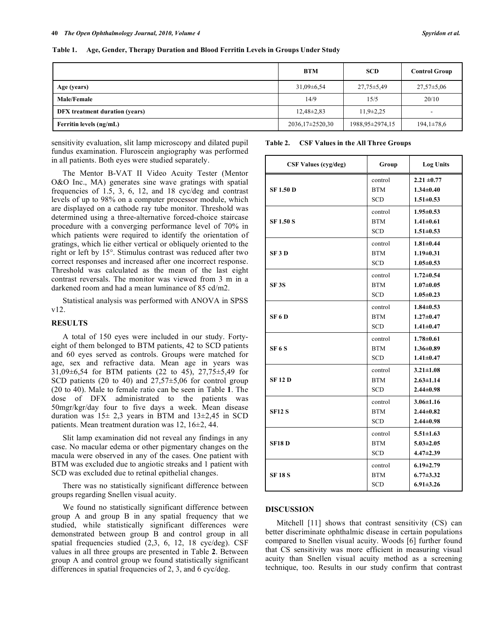| Table 1. Age, Gender, Therapy Duration and Blood Ferritin Levels in Groups Under Study |
|----------------------------------------------------------------------------------------|
|----------------------------------------------------------------------------------------|

|                                | <b>BTM</b>      | <b>SCD</b>       | <b>Control Group</b> |
|--------------------------------|-----------------|------------------|----------------------|
| Age (years)                    | $31,09\pm6,54$  | $27.75 \pm 5.49$ | $27,57\pm5,06$       |
| <b>Male/Female</b>             | 14/9            | 15/5             | 20/10                |
| DFX treatment duration (years) | $12,48\pm2,83$  | $11,9\pm 2,25$   | -                    |
| Ferritin levels (ng/mL)        | 2036,17±2520,30 | 1988,95±2974,15  | $194,1\pm78,6$       |

sensitivity evaluation, slit lamp microscopy and dilated pupil fundus examination. Fluroscein angiography was performed in all patients. Both eyes were studied separately.

 The Mentor B-VAT II Video Acuity Tester (Mentor O&O Inc., MA) generates sine wave gratings with spatial frequencies of 1.5, 3, 6, 12, and 18 cyc/deg and contrast levels of up to 98% on a computer processor module, which are displayed on a cathode ray tube monitor. Threshold was determined using a three-alternative forced-choice staircase procedure with a converging performance level of 70% in which patients were required to identify the orientation of gratings, which lie either vertical or obliquely oriented to the right or left by 15°. Stimulus contrast was reduced after two correct responses and increased after one incorrect response. Threshold was calculated as the mean of the last eight contrast reversals. The monitor was viewed from 3 m in a darkened room and had a mean luminance of 85 cd/m2.

 Statistical analysis was performed with ANOVA in SPSS v12.

## **RESULTS**

 A total of 150 eyes were included in our study. Fortyeight of them belonged to BTM patients, 42 to SCD patients and 60 eyes served as controls. Groups were matched for age, sex and refractive data. Mean age in years was 31,09±6,54 for BTM patients (22 to 45), 27,75±5,49 for SCD patients (20 to 40) and  $27,57\pm5,06$  for control group (20 to 40). Male to female ratio can be seen in Table **1**. The dose of DFX administrated to the patients was 50mgr/kgr/day four to five days a week. Mean disease duration was  $15\pm 2.3$  years in BTM and  $13\pm 2.45$  in SCD patients. Mean treatment duration was 12, 16±2, 44.

 Slit lamp examination did not reveal any findings in any case. No macular edema or other pigmentary changes on the macula were observed in any of the cases. One patient with BTM was excluded due to angiotic streaks and 1 patient with SCD was excluded due to retinal epithelial changes.

 There was no statistically significant difference between groups regarding Snellen visual acuity.

 We found no statistically significant difference between group A and group B in any spatial frequency that we studied, while statistically significant differences were demonstrated between group B and control group in all spatial frequencies studied (2,3, 6, 12, 18 cyc/deg). CSF values in all three groups are presented in Table **2**. Between group A and control group we found statistically significant differences in spatial frequencies of 2, 3, and 6 cyc/deg.

#### **Table 2. CSF Values in the All Three Groups**

| <b>CSF Values (cyg/deg)</b> | Group                               | <b>Log Units</b>                                      |
|-----------------------------|-------------------------------------|-------------------------------------------------------|
| <b>SF 1.50 D</b>            | control<br><b>BTM</b><br><b>SCD</b> | $2.21 \pm 0.77$<br>$1.34 \pm 0.40$<br>$1.51 \pm 0.53$ |
| <b>SF 1.50 S</b>            | control<br><b>BTM</b><br><b>SCD</b> | $1.95 \pm 0.53$<br>$1.41 \pm 0.61$<br>$1.51 \pm 0.53$ |
| SF <sub>3</sub> D           | control<br><b>BTM</b><br><b>SCD</b> | $1.81 \pm 0.44$<br>$1.19 \pm 0.31$<br>$1.05 \pm 0.53$ |
| <b>SF3S</b>                 | control<br><b>BTM</b><br><b>SCD</b> | $1.72 \pm 0.54$<br>$1.07 \pm 0.05$<br>$1.05 \pm 0.23$ |
| SF <sub>6</sub> D           | control<br><b>BTM</b><br><b>SCD</b> | $1.84 \pm 0.53$<br>$1.27 \pm 0.47$<br>$1.41 \pm 0.47$ |
| <b>SF 6 S</b>               | control<br><b>BTM</b><br><b>SCD</b> | $1.78 \pm 0.61$<br>$1.36 \pm 0.89$<br>$1.41 \pm 0.47$ |
| <b>SF 12 D</b>              | control<br><b>BTM</b><br><b>SCD</b> | $3.21 \pm 1.08$<br>$2.63 \pm 1.14$<br>$2.44 \pm 0.98$ |
| <b>SF12 S</b>               | control<br><b>BTM</b><br><b>SCD</b> | $3.06 \pm 1.16$<br>$2.44 \pm 0.82$<br>$2.44 \pm 0.98$ |
| <b>SF18D</b>                | control<br><b>BTM</b><br><b>SCD</b> | $5.51 \pm 1.63$<br>$5.03 \pm 2.05$<br>$4.47 \pm 2.39$ |
| <b>SF18S</b>                | control<br><b>BTM</b><br>SCD        | $6.19 \pm 2.79$<br>$6.77 \pm 3.32$<br>$6.91 \pm 3.26$ |

## **DISCUSSION**

 Mitchell [11] shows that contrast sensitivity (CS) can better discriminate ophthalmic disease in certain populations compared to Snellen visual acuity. Woods [6] further found that CS sensitivity was more efficient in measuring visual acuity than Snellen visual acuity method as a screening technique, too. Results in our study confirm that contrast